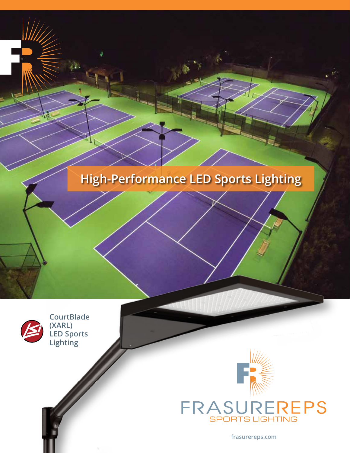# **High-Performance LED Sports Lighting**



**CourtBlade (XARL) LED Sports Lighting**



**frasurereps.com**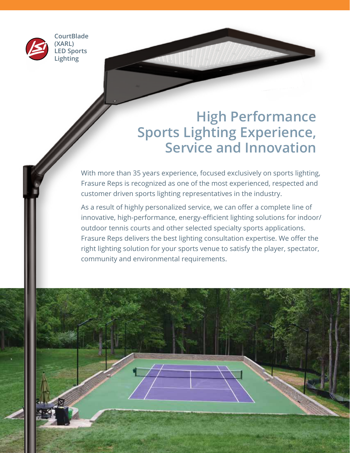

**CourtBlade (XARL) LED Sports Lighting**

# **High Performance Sports Lighting Experience, Service and Innovation**

With more than 35 years experience, focused exclusively on sports lighting, Frasure Reps is recognized as one of the most experienced, respected and customer driven sports lighting representatives in the industry.

As a result of highly personalized service, we can offer a complete line of innovative, high-performance, energy-efficient lighting solutions for indoor/ outdoor tennis courts and other selected specialty sports applications. Frasure Reps delivers the best lighting consultation expertise. We offer the right lighting solution for your sports venue to satisfy the player, spectator, community and environmental requirements.

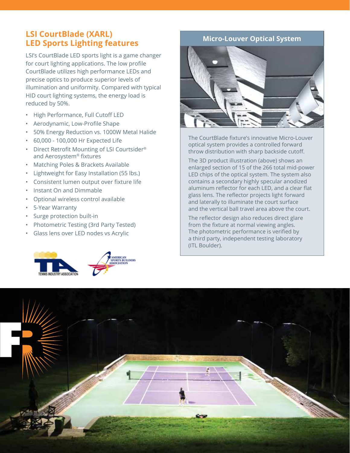## **LSI CourtBlade (XARL) LED Sports Lighting features**

LSI's CourtBlade LED sports light is a game changer for court lighting applications. The low profile CourtBlade utilizes high performance LEDs and precise optics to produce superior levels of illumination and uniformity. Compared with typical HID court lighting systems, the energy load is reduced by 50%.

- High Performance, Full Cutoff LED
- Aerodynamic, Low-Profile Shape
- 50% Energy Reduction vs. 1000W Metal Halide
- 60,000 100,000 Hr Expected Life
- Direct Retrofit Mounting of LSI Courtsider® and Aerosystem® fixtures
- Matching Poles & Brackets Available
- Lightweight for Easy Installation (55 lbs.)
- Consistent lumen output over fixture life
- Instant On and Dimmable
- Optional wireless control available
- 5-Year Warranty
- Surge protection built-in
- Photometric Testing (3rd Party Tested)
- Glass lens over LED nodes vs Acrylic



### **Micro-Louver Optical System**



The CourtBlade fixture's innovative Micro-Louver optical system provides a controlled forward throw distribution with sharp backside cutoff.

The 3D product illustration (above) shows an enlarged section of 15 of the 266 total mid-power LED chips of the optical system. The system also contains a secondary highly specular anodized aluminum reflector for each LED, and a clear flat glass lens. The reflector projects light forward and laterally to illuminate the court surface and the vertical ball travel area above the court.

The reflector design also reduces direct glare from the fixture at normal viewing angles. The photometric performance is verified by a third party, independent testing laboratory (ITL Boulder).

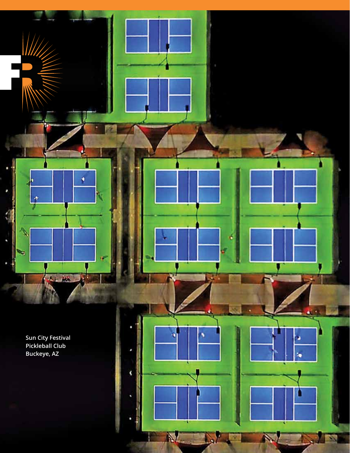**Sun City Festival Pickleball Club Buckeye, AZ**

π

1 15

B

, ۹

E

्य

à,

¢

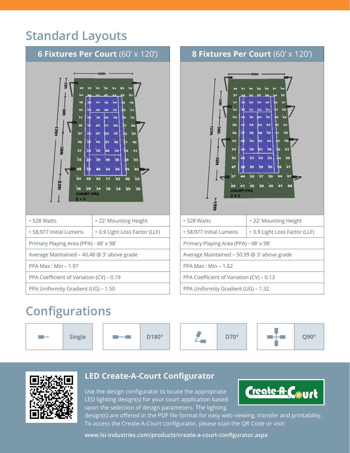# **Standard Layouts**



#### **SPI** 'nз m 6ă HO21 52 52  $46$ 'ss 54 56 56 63  $62$ 52 53 53 52 Soft 47 50 59 50 .<br>47 54 41 45 50 **COURT Histe** • 528 Watts **• 22' Mounting Height** • 58,977 Initial Lumens  $\cdot$  0.9 Light Loss Factor (LLF) Primary Playing Area (PPA) - 48' x 98' Average Maintained – 50.99 @ 3' above grade PPA Max : Min – 1.62 PPA Coefficient of Variation (CV) – 0.13 PPA Uniformity Gradient (UG) – 1.32

**8 Fixtures Per Court** (60' x 120')

## **Configurations**





## **LED Create-A-Court Configurator**

Use the design configurator to locate the appropriate LED lighting design(s) for your court application based upon the selection of design parameters. The lighting



design(s) are offered in the PDF file format for easy web viewing, transfer and printability. To access the Create-A-Court configurator, please scan the QR Code or visit:

**www.lsi-industries.com/products/create-a-court-configurator.aspx**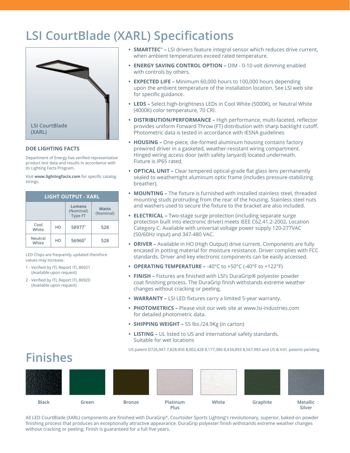## **LSI CourtBlade (XARL) Specifications**



#### **DOE LIGHTING FACTS**

Department of Energy has verified representative product test data and results in accordance with its Lighting Facts Program.

Visit **www.lightingfacts.com** for specific catalog strings.

| <b>LIGHT OUTPUT - XARL</b> |    |                                       |                    |  |  |  |
|----------------------------|----|---------------------------------------|--------------------|--|--|--|
|                            |    | Lumens<br>(Nominal)<br><b>Type FT</b> | Watts<br>(Nominal) |  |  |  |
| Cool<br>HO<br>White        |    | 58977 <sup>1</sup>                    | 528                |  |  |  |
| <b>Neutral</b><br>White    | HO | $56960^2$                             | 528                |  |  |  |

LED Chips are frequently updated therefore values may increase.

- 1 Verified by ITL Report ITL 86921 (Available upon request)
- 2 Verified by ITL Report ITL 86920 (Available upon request)

**Finishes**

- **• SMARTTEC™ –** LSI drivers feature integral sensor which reduces drive current, when ambient temperatures exceed rated temperature.
- **• ENERGY SAVING CONTROL OPTION –** DIM 0-10 volt dimming enabled with controls by others.
- **• EXPECTED LIFE –** Minimum 60,000 hours to 100,000 hours depending upon the ambient temperature of the installation location. See LSI web site for specific guidance.
- **• LEDS –** Select high-brightness LEDs in Cool White (5000K), or Neutral White (4000K) color temperature, 70 CRI.
- **• DISTRIBUTION/PERFORMANCE –** High performance, multi-faceted, reflector provides uniform Forward Throw (FT) distribution with sharp backlight cutoff. Photometric data is tested in accordance with IESNA guidelines
- **• HOUSING –** One-piece, die-formed aluminum housing contains factory prewired driver in a gasketed, weather-resistant wiring compartment. Hinged wiring access door (with safety lanyard) located underneath. Fixture is IP65 rated.
- **• OPTICAL UNIT –** Clear tempered optical-grade flat glass lens permanently sealed to weathertight aluminum optic frame (includes pressure-stabilizing breather).
- **• MOUNTING –** The fixture is furnished with installed stainless steel, threaded mounting studs protruding from the rear of the housing. Stainless steel nuts and washers used to secure the fixture to the bracket are also included.
- **• ELECTRICAL –** Two-stage surge protection (including separate surge protection built into electronic driver) meets IEEE C62.41.2-2002, Location Category C. Available with universal voltage power supply 120-277VAC (50/60Hz input) and 347-480 VAC.
- **• DRIVER –** Available in HO (High Output) drive current. Components are fully encased in potting material for moisture resistance. Driver complies with FCC standards. Driver and key electronic components can be easily accessed.
- **• OPERATING TEMPERATURE –** -40°C to +50°C (-40°F to +122°F)
- **• FINISH –** Fixtures are finished with LSI's DuraGrip® polyester powder coat finishing process. The DuraGrip finish withstands extreme weather changes without cracking or peeling.
- **• WARRANTY –** LSI LED fixtures carry a limited 5-year warranty.
- **• PHOTOMETRICS –** Please visit our web site at www.lsi-industries.com for detailed photometric data.
- **• SHIPPING WEIGHT –** 55 lbs./24.9Kg (in carton)
- **• LISTING –** UL listed to US and international safety standards. Suitable for wet locations

US patent D726,947 7,828,456 8,002,428 8,177,386 8,434,893 8,567,983 and US & Int'l. patents pending.

## **Black Green Bronze Platinum Plus White Graphite Metallic Silver**

All LED CourtBlade (XARL) components are finished with DuraGrip®, Courtsider Sports Lighting's revolutionary, superior, baked-on powder finishing process that produces an exceptionally attractive appearance. DuraGrip polyester finish withstands extreme weather changes without cracking or peeling. Finish is guaranteed for a full five years.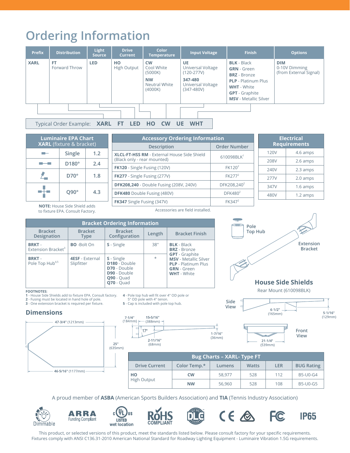# **Ordering Information**

| <b>Prefix</b>                                                                              | <b>Distribution</b>        | <b>Light</b><br><b>Source</b> | <b>Drive</b><br><b>Current</b> | <b>Color</b><br><b>Temperature</b>                                          | <b>Input Voltage</b>                                                                      | <b>Finish</b>                                                                                                                                                                | <b>Options</b>                                        |
|--------------------------------------------------------------------------------------------|----------------------------|-------------------------------|--------------------------------|-----------------------------------------------------------------------------|-------------------------------------------------------------------------------------------|------------------------------------------------------------------------------------------------------------------------------------------------------------------------------|-------------------------------------------------------|
| <b>XARL</b>                                                                                | <b>FT</b><br>Forward Throw | <b>LED</b>                    | HO<br>High Output              | <b>CW</b><br>Cool White<br>(5000K)<br><b>NW</b><br>Neutral White<br>(4000K) | UE<br>Universal Voltage<br>$(120-277V)$<br>347-480<br>Universal Voltage<br>$(347 - 480V)$ | <b>BLK</b> - Black<br><b>GRN</b> - Green<br><b>BRZ</b> - Bronze<br><b>PLP</b> - Platinum Plus<br><b>WHT</b> - White<br><b>GPT</b> - Graphite<br><b>MSV</b> - Metallic Silver | <b>DIM</b><br>0-10V Dimming<br>(from External Signal) |
| <b>WHT</b><br>Typical Order Example: XARL FT<br><b>LED</b><br><b>HO</b><br>UE<br><b>CW</b> |                            |                               |                                |                                                                             |                                                                                           |                                                                                                                                                                              |                                                       |

| <b>Luminaire EPA Chart</b><br><b>XARL</b> (fixture & bracket) |              |     |  |  |  |
|---------------------------------------------------------------|--------------|-----|--|--|--|
|                                                               | 1.2          |     |  |  |  |
|                                                               | $D180^\circ$ | 2.4 |  |  |  |
|                                                               | D70°         | 1.8 |  |  |  |
|                                                               | $O90^\circ$  | 43  |  |  |  |

| <b>Accessory Ordering Information</b>                                      |                           |  |  |  |
|----------------------------------------------------------------------------|---------------------------|--|--|--|
| <b>Description</b>                                                         | <b>Order Number</b>       |  |  |  |
| XLCL-FT-HSS RM - External House Side Shield<br>(Black only - rear mounted) | $610098$ BLK <sup>1</sup> |  |  |  |
| FK120 - Single Fusing (120V)                                               | FK120 <sup>2</sup>        |  |  |  |
| <b>FK277</b> - Single Fusing (277V)                                        | FK277 <sup>2</sup>        |  |  |  |
| <b>DFK208,240</b> - Double Fusing (208V, 240V)                             | DFK208,240 <sup>2</sup>   |  |  |  |
| DFK480 Double Fusing (480V)                                                | DFK480 <sup>2</sup>       |  |  |  |
| FK347 Single Fusing (347V)                                                 | FK347 <sup>2</sup>        |  |  |  |
|                                                                            |                           |  |  |  |

| <b>Electrical</b><br><b>Requirements</b> |          |  |  |  |  |
|------------------------------------------|----------|--|--|--|--|
| 120V                                     | 4.6 amps |  |  |  |  |
| 208V                                     | 2.6 amps |  |  |  |  |
| 240V                                     | 2.3 amps |  |  |  |  |
| 277V                                     | 2.0 amps |  |  |  |  |
| 347V                                     | 1.6 amps |  |  |  |  |
| 480V                                     | 1.2 amps |  |  |  |  |
|                                          |          |  |  |  |  |

**NOTE:** House Side Shield adds to fixture EPA. Consult Factory.

Accessories are field installed.

| <b>Bracket Ordering Information</b>            |                                      |                                                                                                                     |         |                                                                                                                                 |  |  |  |
|------------------------------------------------|--------------------------------------|---------------------------------------------------------------------------------------------------------------------|---------|---------------------------------------------------------------------------------------------------------------------------------|--|--|--|
| <b>Bracket</b><br><b>Designation</b>           | <b>Bracket</b><br><b>Type</b>        | <b>Bracket</b><br>Configuration                                                                                     | Length  | <b>Bracket Finish</b>                                                                                                           |  |  |  |
| <b>BRKT-</b><br>Extension Bracket <sup>3</sup> | <b>BO</b> -Bolt On                   | S - Single                                                                                                          | 38"     | <b>BLK</b> - Black<br><b>BRZ</b> - Bronze                                                                                       |  |  |  |
| <b>BRKT-</b><br>Pole Top Hub <sup>4,5</sup>    | <b>4ESF</b> - External<br>Slipfitter | S - Single<br>D180 - Double<br><b>D70</b> - Double<br><b>D90</b> - Double<br><b>Q90</b> - Quad<br><b>Q70</b> - Quad | $\star$ | <b>GPT</b> - Graphite<br><b>MSV</b> - Metallic Silver<br><b>PLP</b> - Platinum Plus<br><b>GRN</b> - Green<br><b>WHT</b> - White |  |  |  |

#### **FOOTNOTES:**

**1** - House Side Shields add to fixture EPA. Consult factory. **2** - Fusing must be located in hand hole of pole. **3** - One extension bracket is required per fixture.

#### **Dimensions**



**4** - Pole top hub will fit over 4" OD pole or 5" OD pole with 4" tenon. **5** - Cap is included with pole top hub.

 $15 - 5/16"$ 

 $17^\circ$ 

 $(388$ mm) -

 $2 - 11/16"$ 

 $(68mm)$ 



#### **House Side Shields**

Rear Mount (610098BLK)



**C** 

 $(539mm)$ 

| <b>Bug Charts - XARL- Type FT</b> |              |        |              |            |                   |  |
|-----------------------------------|--------------|--------|--------------|------------|-------------------|--|
| <b>Drive Current</b>              | Color Temp.* | Lumens | <b>Watts</b> | <b>LER</b> | <b>BUG Rating</b> |  |
| HO<br><b>High Output</b>          | <b>CW</b>    | 58.977 | 528          | 112        | B5-U0-G4          |  |
|                                   | <b>NW</b>    | 56,960 | 528          | 108        | B5-U0-G5          |  |

A proud member of **ASBA** (American Sports Builders Association) and **TIA** (Tennis Industry Association)

















This product, or selected versions of this product, meet the standards listed below. Please consult factory for your specific requirements. Fixtures comply with ANSI C136.31-2010 American National Standard for Roadway Lighting Equipment - Luminaire Vibration 1.5G requirements.